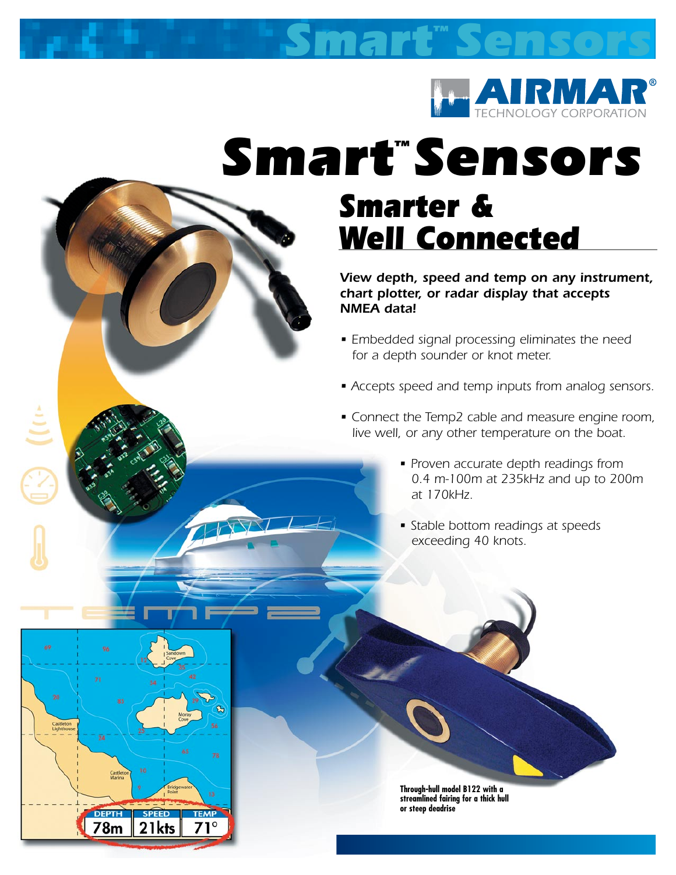

*Sensors*

# *Smart™ Sensors Smarter & Well Connected*

*Smart™*

 $\frac{1}{2}$ 

Castle<br>Lighth

**78m** 

21kts

*View depth, speed and temp on any instrument, chart plotter, or radar display that accepts NMEA data!*

- *Embedded signal processing eliminates the need for a depth sounder or knot meter.*
- *Accepts speed and temp inputs from analog sensors.*
- *Connect the Temp2 cable and measure engine room, live well, or any other temperature on the boat.*
	- *Proven accurate depth readings from 0.4 m-100m at 235kHz and up to 200m at 170kHz.*
	- *Stable bottom readings at speeds exceeding 40 knots.*

**Through-hull model B122 with a streamlined fairing for a thick hull or steep deadrise**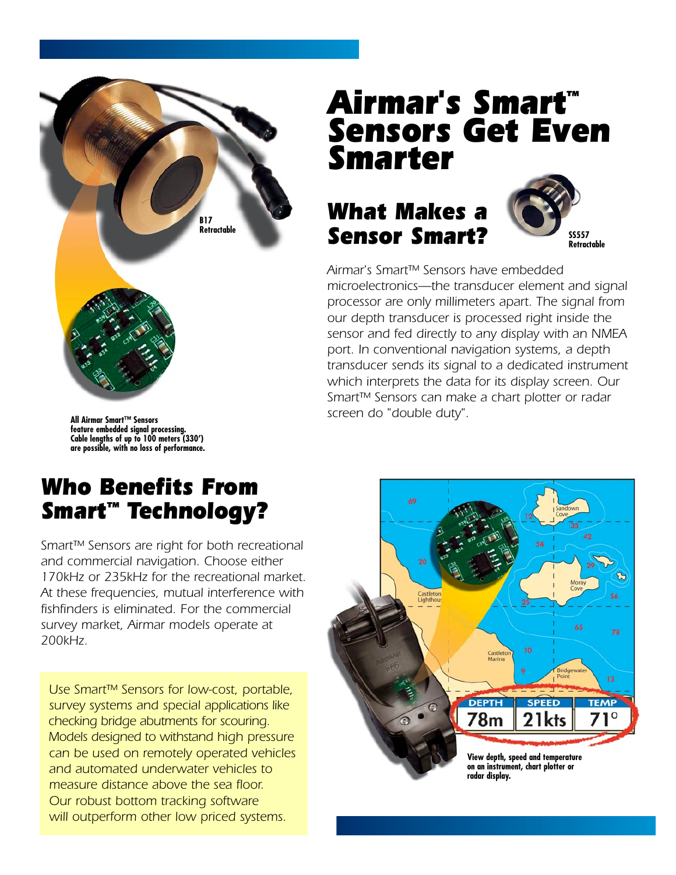

# *Airmar's Smart™ Sensors Get Even Smarter*

## *What Makes a Sensor Smart?*



*Airmar's Smart™ Sensors have embedded microelectronics—the transducer element and signal processor are only millimeters apart. The signal from our depth transducer is processed right inside the sensor and fed directly to any display with an NMEA port. In conventional navigation systems, a depth transducer sends its signal to a dedicated instrument which interprets the data for its display screen. Our Smart™ Sensors can make a chart plotter or radar screen do "double duty".* 

**All Airmar Smart™ Sensors feature embedded signal processing. Cable lengths of up to 100 meters (330') are possible, with no loss of performance.**

#### *Who Benefits From Smart™ Technology?*

*Smart™ Sensors are right for both recreational and commercial navigation. Choose either 170kHz or 235kHz for the recreational market. At these frequencies, mutual interference with fishfinders is eliminated. For the commercial survey market, Airmar models operate at 200kHz.* 

*Use Smart™ Sensors for low-cost, portable, survey systems and special applications like checking bridge abutments for scouring. Models designed to withstand high pressure can be used on remotely operated vehicles and automated underwater vehicles to measure distance above the sea floor. Our robust bottom tracking software will outperform other low priced systems.* 

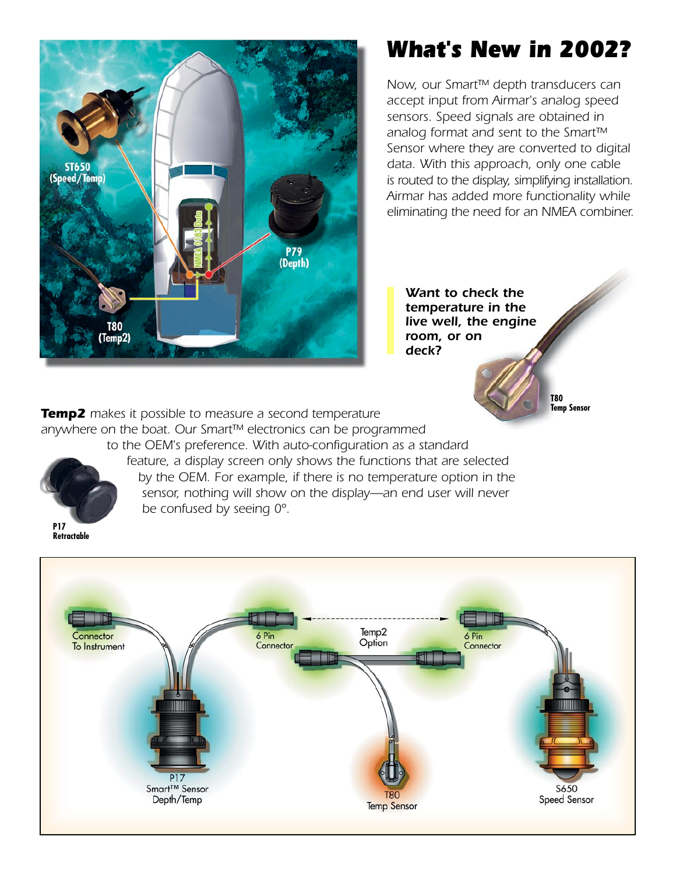

## *What's New in 2002?*

*Now, our Smart™ depth transducers can accept input from Airmar's analog speed sensors. Speed signals are obtained in analog format and sent to the Smart™ Sensor where they are converted to digital data. With this approach, only one cable is routed to the display, simplifying installation. Airmar has added more functionality while eliminating the need for an NMEA combiner.* 

*Want to check the temperature in the live well, the engine room, or on deck?*

> **T80 Temp Sensor**

*Temp2 makes it possible to measure a second temperature anywhere on the boat. Our Smart™ electronics can be programmed* 

*be confused by seeing 0º.*

*to the OEM's preference. With auto-configuration as a standard* 

*feature, a display screen only shows the functions that are selected by the OEM. For example, if there is no temperature option in the sensor, nothing will show on the display—an end user will never* 



**Retractable**